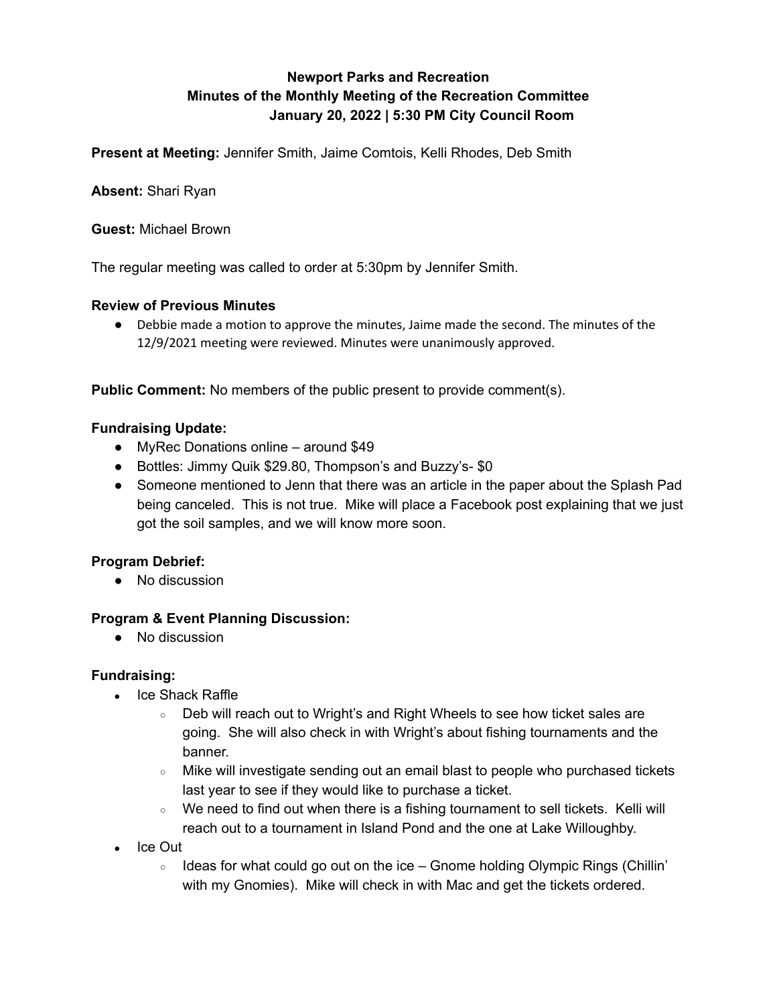# **Newport Parks and Recreation Minutes of the Monthly Meeting of the Recreation Committee January 20, 2022 | 5:30 PM City Council Room**

**Present at Meeting:** Jennifer Smith, Jaime Comtois, Kelli Rhodes, Deb Smith

**Absent:** Shari Ryan

**Guest:** Michael Brown

The regular meeting was called to order at 5:30pm by Jennifer Smith.

## **Review of Previous Minutes**

● Debbie made a motion to approve the minutes, Jaime made the second. The minutes of the 12/9/2021 meeting were reviewed. Minutes were unanimously approved.

**Public Comment:** No members of the public present to provide comment(s).

## **Fundraising Update:**

- MyRec Donations online around \$49
- Bottles: Jimmy Quik \$29.80, Thompson's and Buzzy's- \$0
- Someone mentioned to Jenn that there was an article in the paper about the Splash Pad being canceled. This is not true. Mike will place a Facebook post explaining that we just got the soil samples, and we will know more soon.

# **Program Debrief:**

● No discussion

#### **Program & Event Planning Discussion:**

● No discussion

#### **Fundraising:**

- $\bullet$  Ice Shack Raffle
	- Deb will reach out to Wright's and Right Wheels to see how ticket sales are going. She will also check in with Wright's about fishing tournaments and the banner.
	- Mike will investigate sending out an email blast to people who purchased tickets last year to see if they would like to purchase a ticket.
	- We need to find out when there is a fishing tournament to sell tickets. Kelli will reach out to a tournament in Island Pond and the one at Lake Willoughby.
- Ice Out
	- $\circ$  Ideas for what could go out on the ice Gnome holding Olympic Rings (Chillin' with my Gnomies). Mike will check in with Mac and get the tickets ordered.